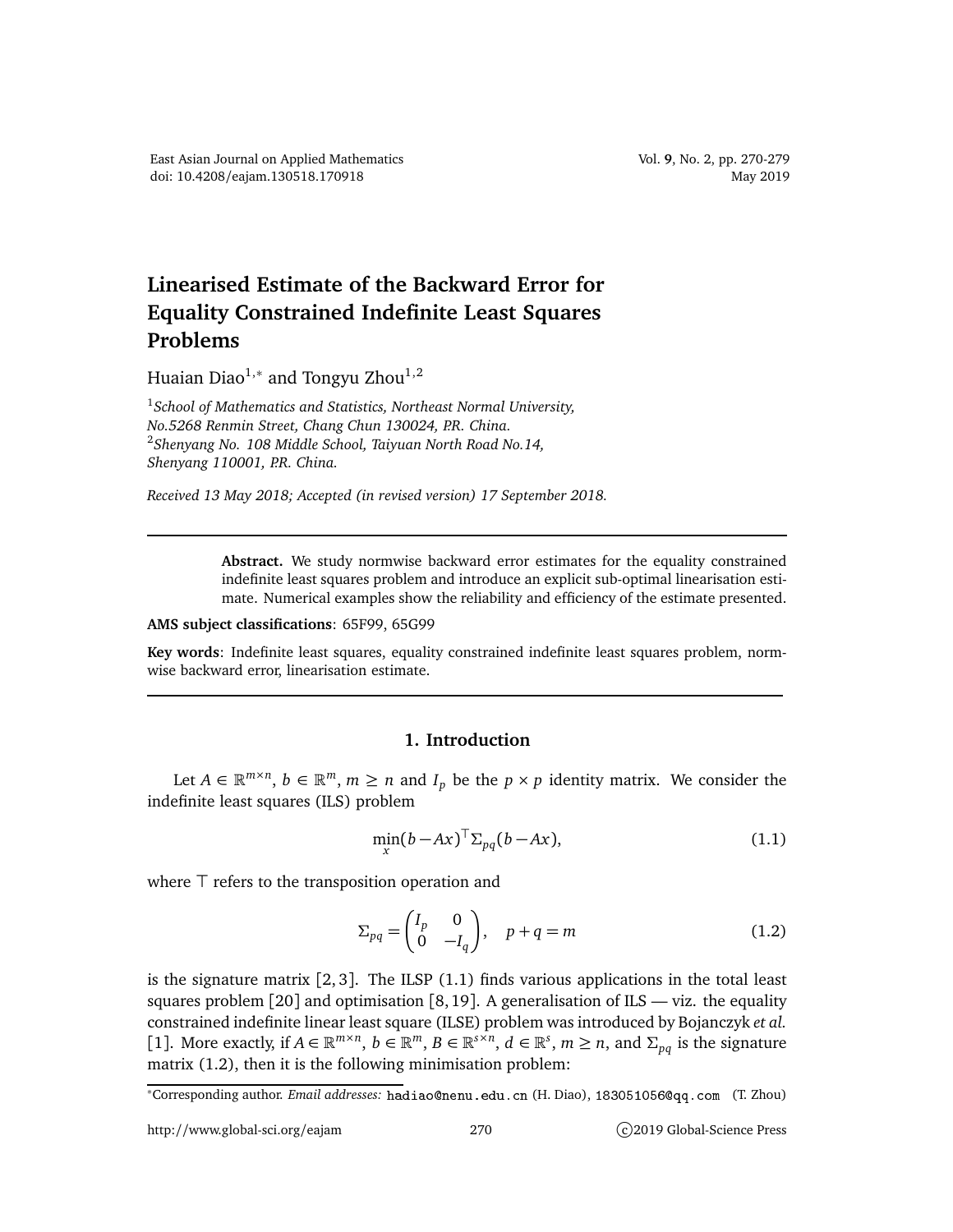## **Linearised Estimate of the Backward Error for Equality Constrained Indefinite Least Squares Problems**

Huaian Diao $^{1,\ast}$  and Tongyu Zhou $^{1,2}$ 

<sup>1</sup>*School of Mathematics and Statistics, Northeast Normal University, No.5268 Renmin Street, Chang Chun 130024, P.R. China.* <sup>2</sup>*Shenyang No. 108 Middle School, Taiyuan North Road No.14, Shenyang 110001, P.R. China.*

*Received 13 May 2018; Accepted (in revised version) 17 September 2018.*

**Abstract.** We study normwise backward error estimates for the equality constrained indefinite least squares problem and introduce an explicit sub-optimal linearisation estimate. Numerical examples show the reliability and efficiency of the estimate presented.

## **AMS subject classifications**: 65F99, 65G99

**Key words**: Indefinite least squares, equality constrained indefinite least squares problem, normwise backward error, linearisation estimate.

## **1. Introduction**

Let  $A \in \mathbb{R}^{m \times n}$ ,  $b \in \mathbb{R}^m$ ,  $m \ge n$  and  $I_p$  be the  $p \times p$  identity matrix. We consider the indefinite least squares (ILS) problem

$$
\min_{x} (b - Ax)^{\top} \Sigma_{pq} (b - Ax), \tag{1.1}
$$

where ⊤ refers to the transposition operation and

$$
\Sigma_{pq} = \begin{pmatrix} I_p & 0 \\ 0 & -I_q \end{pmatrix}, \quad p+q=m \tag{1.2}
$$

is the signature matrix [2, 3]. The ILSP (1.1) finds various applications in the total least squares problem  $[20]$  and optimisation  $[8, 19]$ . A generalisation of ILS — viz. the equality constrained indefinite linear least square (ILSE) problem was introduced by Bojanczyk *et al.* [1]. More exactly, if  $A \in \mathbb{R}^{m \times n}$ ,  $b \in \mathbb{R}^m$ ,  $B \in \mathbb{R}^{s \times n}$ ,  $d \in \mathbb{R}^s$ ,  $m \ge n$ , and  $\Sigma_{pq}$  is the signature matrix (1.2), then it is the following minimisation problem:

\*Corresponding author. *Email addresses*: hadiao@nenu.edu.cn (H. Diao), 183051056@qq.com (T. Zhou)